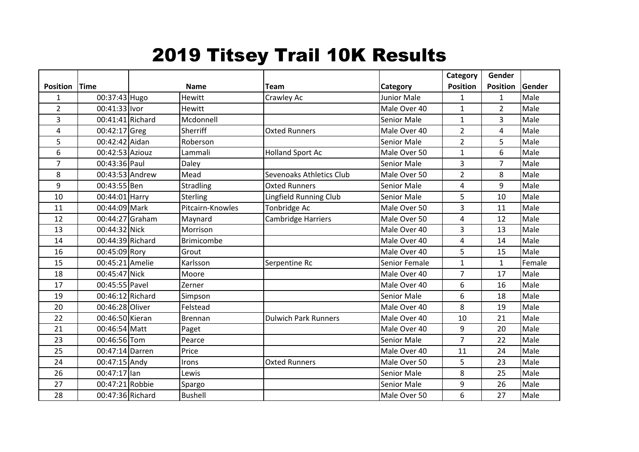## 2019 Titsey Trail 10K Results

|                 |                  |                   |                             |                    | Category        | Gender          |        |
|-----------------|------------------|-------------------|-----------------------------|--------------------|-----------------|-----------------|--------|
| <b>Position</b> | <b>Time</b>      | <b>Name</b>       | Team                        | Category           | <b>Position</b> | <b>Position</b> | Gender |
| $\mathbf{1}$    | 00:37:43 Hugo    | <b>Hewitt</b>     | Crawley Ac                  | <b>Junior Male</b> | $\mathbf{1}$    | $\mathbf{1}$    | Male   |
| $\overline{2}$  | 00:41:33 lvor    | <b>Hewitt</b>     |                             | Male Over 40       | $\mathbf{1}$    | $\overline{2}$  | Male   |
| 3               | 00:41:41 Richard | Mcdonnell         |                             | <b>Senior Male</b> | $\mathbf{1}$    | 3               | Male   |
| 4               | 00:42:17 Greg    | Sherriff          | <b>Oxted Runners</b>        | Male Over 40       | $\overline{2}$  | 4               | Male   |
| 5               | 00:42:42 Aidan   | Roberson          |                             | Senior Male        | $\overline{2}$  | 5               | Male   |
| 6               | 00:42:53 Aziouz  | Lammali           | <b>Holland Sport Ac</b>     | Male Over 50       | $\mathbf{1}$    | 6               | Male   |
| $\overline{7}$  | 00:43:36 Paul    | Daley             |                             | <b>Senior Male</b> | $\overline{3}$  | $\overline{7}$  | Male   |
| 8               | 00:43:53 Andrew  | Mead              | Sevenoaks Athletics Club    | Male Over 50       | 2               | 8               | Male   |
| 9               | 00:43:55 Ben     | <b>Stradling</b>  | <b>Oxted Runners</b>        | <b>Senior Male</b> | 4               | 9               | Male   |
| 10              | 00:44:01 Harry   | <b>Sterling</b>   | Lingfield Running Club      | Senior Male        | 5               | 10              | Male   |
| 11              | 00:44:09 Mark    | Pitcairn-Knowles  | Tonbridge Ac                | Male Over 50       | 3               | 11              | Male   |
| 12              | 00:44:27 Graham  | Maynard           | Cambridge Harriers          | Male Over 50       | 4               | 12              | Male   |
| 13              | 00:44:32 Nick    | Morrison          |                             | Male Over 40       | 3               | 13              | Male   |
| 14              | 00:44:39 Richard | <b>Brimicombe</b> |                             | Male Over 40       | 4               | 14              | Male   |
| 16              | 00:45:09 Rory    | Grout             |                             | Male Over 40       | 5               | 15              | Male   |
| 15              | 00:45:21 Amelie  | Karlsson          | Serpentine Rc               | Senior Female      | $\mathbf{1}$    | $\mathbf{1}$    | Female |
| 18              | 00:45:47 Nick    | Moore             |                             | Male Over 40       | $\overline{7}$  | 17              | Male   |
| 17              | 00:45:55 Pavel   | Zerner            |                             | Male Over 40       | 6               | 16              | Male   |
| 19              | 00:46:12 Richard | Simpson           |                             | <b>Senior Male</b> | 6               | 18              | Male   |
| 20              | 00:46:28 Oliver  | Felstead          |                             | Male Over 40       | 8               | 19              | Male   |
| 22              | 00:46:50 Kieran  | Brennan           | <b>Dulwich Park Runners</b> | Male Over 40       | 10              | 21              | Male   |
| 21              | 00:46:54 Matt    | Paget             |                             | Male Over 40       | 9               | 20              | Male   |
| 23              | 00:46:56 Tom     | Pearce            |                             | <b>Senior Male</b> | $\overline{7}$  | 22              | Male   |
| 25              | 00:47:14 Darren  | Price             |                             | Male Over 40       | 11              | 24              | Male   |
| 24              | 00:47:15 Andy    | <b>Irons</b>      | <b>Oxted Runners</b>        | Male Over 50       | 5               | 23              | Male   |
| 26              | 00:47:17 lan     | Lewis             |                             | <b>Senior Male</b> | 8               | 25              | Male   |
| 27              | 00:47:21 Robbie  | Spargo            |                             | <b>Senior Male</b> | 9               | 26              | Male   |
| 28              | 00:47:36 Richard | <b>Bushell</b>    |                             | Male Over 50       | 6               | 27              | Male   |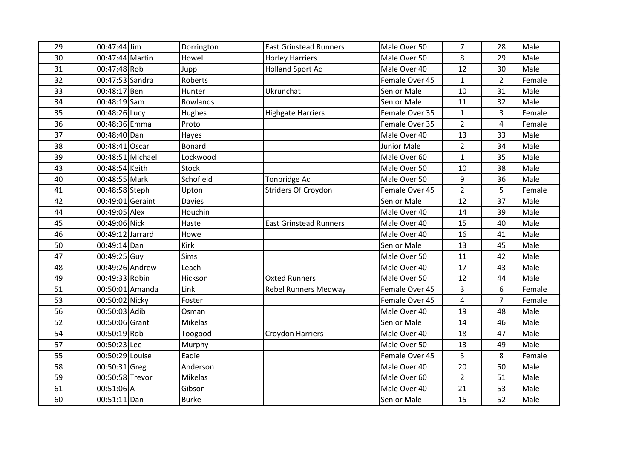| 29 | 00:47:44 Jim     | Dorrington     | <b>East Grinstead Runners</b> | Male Over 50       | $\overline{7}$ | 28             | Male   |
|----|------------------|----------------|-------------------------------|--------------------|----------------|----------------|--------|
| 30 | 00:47:44 Martin  | Howell         | <b>Horley Harriers</b>        | Male Over 50       | 8              | 29             | Male   |
| 31 | 00:47:48 Rob     | Jupp           | <b>Holland Sport Ac</b>       | Male Over 40       | 12             | 30             | Male   |
| 32 | 00:47:53 Sandra  | Roberts        |                               | Female Over 45     | $\mathbf{1}$   | $\overline{2}$ | Female |
| 33 | 00:48:17 Ben     | Hunter         | Ukrunchat                     | <b>Senior Male</b> | 10             | 31             | Male   |
| 34 | 00:48:19 Sam     | Rowlands       |                               | <b>Senior Male</b> | 11             | 32             | Male   |
| 35 | 00:48:26 Lucy    | Hughes         | <b>Highgate Harriers</b>      | Female Over 35     | $\mathbf{1}$   | $\overline{3}$ | Female |
| 36 | 00:48:36 Emma    | Proto          |                               | Female Over 35     | $\overline{2}$ | 4              | Female |
| 37 | 00:48:40 Dan     | Hayes          |                               | Male Over 40       | 13             | 33             | Male   |
| 38 | 00:48:41 Oscar   | <b>Bonard</b>  |                               | <b>Junior Male</b> | $\overline{2}$ | 34             | Male   |
| 39 | 00:48:51 Michael | Lockwood       |                               | Male Over 60       | $\mathbf{1}$   | 35             | Male   |
| 43 | 00:48:54 Keith   | <b>Stock</b>   |                               | Male Over 50       | 10             | 38             | Male   |
| 40 | 00:48:55 Mark    | Schofield      | Tonbridge Ac                  | Male Over 50       | 9              | 36             | Male   |
| 41 | 00:48:58 Steph   | Upton          | Striders Of Croydon           | Female Over 45     | $\overline{2}$ | 5              | Female |
| 42 | 00:49:01 Geraint | <b>Davies</b>  |                               | <b>Senior Male</b> | 12             | 37             | Male   |
| 44 | 00:49:05 Alex    | Houchin        |                               | Male Over 40       | 14             | 39             | Male   |
| 45 | 00:49:06 Nick    | Haste          | <b>East Grinstead Runners</b> | Male Over 40       | 15             | 40             | Male   |
| 46 | 00:49:12 Jarrard | Howe           |                               | Male Over 40       | 16             | 41             | Male   |
| 50 | 00:49:14 Dan     | Kirk           |                               | Senior Male        | 13             | 45             | Male   |
| 47 | 00:49:25 Guy     | <b>Sims</b>    |                               | Male Over 50       | 11             | 42             | Male   |
| 48 | 00:49:26 Andrew  | Leach          |                               | Male Over 40       | 17             | 43             | Male   |
| 49 | 00:49:33 Robin   | Hickson        | <b>Oxted Runners</b>          | Male Over 50       | 12             | 44             | Male   |
| 51 | 00:50:01 Amanda  | Link           | <b>Rebel Runners Medway</b>   | Female Over 45     | 3              | 6              | Female |
| 53 | 00:50:02 Nicky   | Foster         |                               | Female Over 45     | $\overline{4}$ | $\overline{7}$ | Female |
| 56 | 00:50:03 Adib    | Osman          |                               | Male Over 40       | 19             | 48             | Male   |
| 52 | 00:50:06 Grant   | <b>Mikelas</b> |                               | <b>Senior Male</b> | 14             | 46             | Male   |
| 54 | 00:50:19 Rob     | Toogood        | Croydon Harriers              | Male Over 40       | 18             | 47             | Male   |
| 57 | 00:50:23 Lee     | Murphy         |                               | Male Over 50       | 13             | 49             | Male   |
| 55 | 00:50:29 Louise  | Eadie          |                               | Female Over 45     | 5              | 8              | Female |
| 58 | 00:50:31 Greg    | Anderson       |                               | Male Over 40       | 20             | 50             | Male   |
| 59 | 00:50:58 Trevor  | <b>Mikelas</b> |                               | Male Over 60       | $\overline{2}$ | 51             | Male   |
| 61 | 00:51:06 A       | Gibson         |                               | Male Over 40       | 21             | 53             | Male   |
| 60 | 00:51:11 Dan     | <b>Burke</b>   |                               | <b>Senior Male</b> | 15             | 52             | Male   |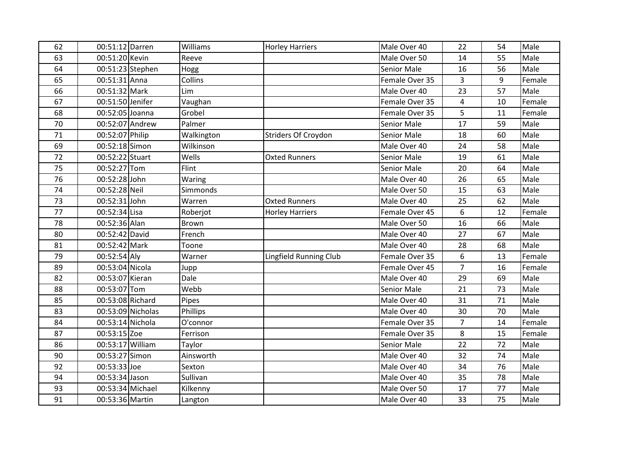| 62 | 00:51:12 Darren  |                   | Williams     | <b>Horley Harriers</b> | Male Over 40       | 22             | 54 | Male   |
|----|------------------|-------------------|--------------|------------------------|--------------------|----------------|----|--------|
| 63 | 00:51:20 Kevin   |                   | Reeve        |                        | Male Over 50       | 14             | 55 | Male   |
| 64 |                  | 00:51:23 Stephen  | Hogg         |                        | <b>Senior Male</b> | 16             | 56 | Male   |
| 65 | 00:51:31 Anna    |                   | Collins      |                        | Female Over 35     | $\overline{3}$ | 9  | Female |
| 66 | 00:51:32 Mark    |                   | Lim          |                        | Male Over 40       | 23             | 57 | Male   |
| 67 | 00:51:50 Jenifer |                   | Vaughan      |                        | Female Over 35     | $\overline{4}$ | 10 | Female |
| 68 | 00:52:05 Joanna  |                   | Grobel       |                        | Female Over 35     | 5              | 11 | Female |
| 70 | 00:52:07 Andrew  |                   | Palmer       |                        | <b>Senior Male</b> | 17             | 59 | Male   |
| 71 | 00:52:07 Philip  |                   | Walkington   | Striders Of Croydon    | <b>Senior Male</b> | 18             | 60 | Male   |
| 69 | 00:52:18 Simon   |                   | Wilkinson    |                        | Male Over 40       | 24             | 58 | Male   |
| 72 | 00:52:22 Stuart  |                   | Wells        | <b>Oxted Runners</b>   | <b>Senior Male</b> | 19             | 61 | Male   |
| 75 | 00:52:27 Tom     |                   | Flint        |                        | Senior Male        | 20             | 64 | Male   |
| 76 | 00:52:28 John    |                   | Waring       |                        | Male Over 40       | 26             | 65 | Male   |
| 74 | 00:52:28 Neil    |                   | Simmonds     |                        | Male Over 50       | 15             | 63 | Male   |
| 73 | 00:52:31 John    |                   | Warren       | <b>Oxted Runners</b>   | Male Over 40       | 25             | 62 | Male   |
| 77 | 00:52:34 Lisa    |                   | Roberjot     | <b>Horley Harriers</b> | Female Over 45     | 6              | 12 | Female |
| 78 | 00:52:36 Alan    |                   | <b>Brown</b> |                        | Male Over 50       | 16             | 66 | Male   |
| 80 | 00:52:42 David   |                   | French       |                        | Male Over 40       | 27             | 67 | Male   |
| 81 | 00:52:42 Mark    |                   | Toone        |                        | Male Over 40       | 28             | 68 | Male   |
| 79 | 00:52:54 Aly     |                   | Warner       | Lingfield Running Club | Female Over 35     | 6              | 13 | Female |
| 89 | 00:53:04 Nicola  |                   | Jupp         |                        | Female Over 45     | $\overline{7}$ | 16 | Female |
| 82 | 00:53:07 Kieran  |                   | Dale         |                        | Male Over 40       | 29             | 69 | Male   |
| 88 | 00:53:07 Tom     |                   | Webb         |                        | <b>Senior Male</b> | 21             | 73 | Male   |
| 85 | 00:53:08 Richard |                   | Pipes        |                        | Male Over 40       | 31             | 71 | Male   |
| 83 |                  | 00:53:09 Nicholas | Phillips     |                        | Male Over 40       | 30             | 70 | Male   |
| 84 | 00:53:14 Nichola |                   | O'connor     |                        | Female Over 35     | $\overline{7}$ | 14 | Female |
| 87 | 00:53:15 Zoe     |                   | Ferrison     |                        | Female Over 35     | 8              | 15 | Female |
| 86 | 00:53:17 William |                   | Taylor       |                        | <b>Senior Male</b> | 22             | 72 | Male   |
| 90 | 00:53:27 Simon   |                   | Ainsworth    |                        | Male Over 40       | 32             | 74 | Male   |
| 92 | 00:53:33 Joe     |                   | Sexton       |                        | Male Over 40       | 34             | 76 | Male   |
| 94 | 00:53:34 Jason   |                   | Sullivan     |                        | Male Over 40       | 35             | 78 | Male   |
| 93 | 00:53:34 Michael |                   | Kilkenny     |                        | Male Over 50       | 17             | 77 | Male   |
| 91 | 00:53:36 Martin  |                   | Langton      |                        | Male Over 40       | 33             | 75 | Male   |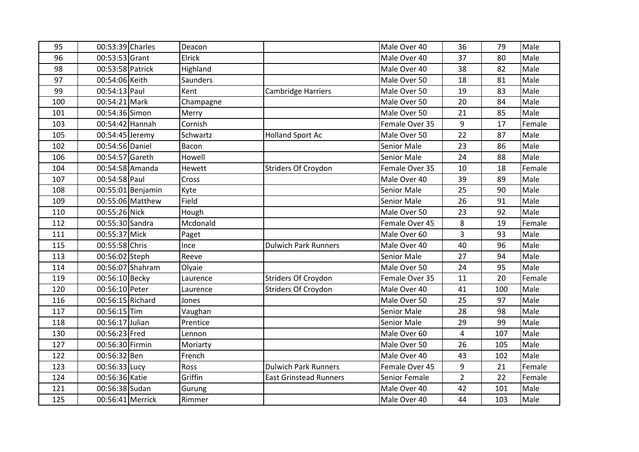| 95  | 00:53:39 Charles |                   | Deacon    |                               | Male Over 40       | 36             | 79  | Male   |
|-----|------------------|-------------------|-----------|-------------------------------|--------------------|----------------|-----|--------|
| 96  | 00:53:53 Grant   |                   | Elrick    |                               | Male Over 40       | 37             | 80  | Male   |
| 98  | 00:53:58 Patrick |                   | Highland  |                               | Male Over 40       | 38             | 82  | Male   |
| 97  | 00:54:06 Keith   |                   | Saunders  |                               | Male Over 50       | 18             | 81  | Male   |
| 99  | 00:54:13 Paul    |                   | Kent      | <b>Cambridge Harriers</b>     | Male Over 50       | 19             | 83  | Male   |
| 100 | 00:54:21 Mark    |                   | Champagne |                               | Male Over 50       | 20             | 84  | Male   |
| 101 | 00:54:36 Simon   |                   | Merry     |                               | Male Over 50       | 21             | 85  | Male   |
| 103 | 00:54:42 Hannah  |                   | Cornish   |                               | Female Over 35     | 9              | 17  | Female |
| 105 | 00:54:45 Jeremy  |                   | Schwartz  | <b>Holland Sport Ac</b>       | Male Over 50       | 22             | 87  | Male   |
| 102 | 00:54:56 Daniel  |                   | Bacon     |                               | <b>Senior Male</b> | 23             | 86  | Male   |
| 106 | 00:54:57 Gareth  |                   | Howell    |                               | <b>Senior Male</b> | 24             | 88  | Male   |
| 104 |                  | 00:54:58 Amanda   | Hewett    | Striders Of Croydon           | Female Over 35     | 10             | 18  | Female |
| 107 | 00:54:58 Paul    |                   | Cross     |                               | Male Over 40       | 39             | 89  | Male   |
| 108 |                  | 00:55:01 Benjamin | Kyte      |                               | <b>Senior Male</b> | 25             | 90  | Male   |
| 109 |                  | 00:55:06 Matthew  | Field     |                               | <b>Senior Male</b> | 26             | 91  | Male   |
| 110 | 00:55:26 Nick    |                   | Hough     |                               | Male Over 50       | 23             | 92  | Male   |
| 112 | 00:55:30 Sandra  |                   | Mcdonald  |                               | Female Over 45     | 8              | 19  | Female |
| 111 | 00:55:37 Mick    |                   | Paget     |                               | Male Over 60       | 3              | 93  | Male   |
| 115 | 00:55:58 Chris   |                   | Ince      | <b>Dulwich Park Runners</b>   | Male Over 40       | 40             | 96  | Male   |
| 113 | 00:56:02 Steph   |                   | Reeve     |                               | Senior Male        | 27             | 94  | Male   |
| 114 |                  | 00:56:07 Shahram  | Olyaie    |                               | Male Over 50       | 24             | 95  | Male   |
| 119 | 00:56:10 Becky   |                   | Laurence  | Striders Of Croydon           | Female Over 35     | 11             | 20  | Female |
| 120 | 00:56:10 Peter   |                   | Laurence  | <b>Striders Of Croydon</b>    | Male Over 40       | 41             | 100 | Male   |
| 116 | 00:56:15 Richard |                   | Jones     |                               | Male Over 50       | 25             | 97  | Male   |
| 117 | 00:56:15 Tim     |                   | Vaughan   |                               | <b>Senior Male</b> | 28             | 98  | Male   |
| 118 | 00:56:17 Julian  |                   | Prentice  |                               | <b>Senior Male</b> | 29             | 99  | Male   |
| 130 | 00:56:23 Fred    |                   | Lennon    |                               | Male Over 60       | 4              | 107 | Male   |
| 127 | 00:56:30 Firmin  |                   | Moriarty  |                               | Male Over 50       | 26             | 105 | Male   |
| 122 | 00:56:32 Ben     |                   | French    |                               | Male Over 40       | 43             | 102 | Male   |
| 123 | 00:56:33 Lucy    |                   | Ross      | <b>Dulwich Park Runners</b>   | Female Over 45     | 9              | 21  | Female |
| 124 | 00:56:36 Katie   |                   | Griffin   | <b>East Grinstead Runners</b> | Senior Female      | $\overline{2}$ | 22  | Female |
| 121 | 00:56:38 Sudan   |                   | Gurung    |                               | Male Over 40       | 42             | 101 | Male   |
| 125 | 00:56:41 Merrick |                   | Rimmer    |                               | Male Over 40       | 44             | 103 | Male   |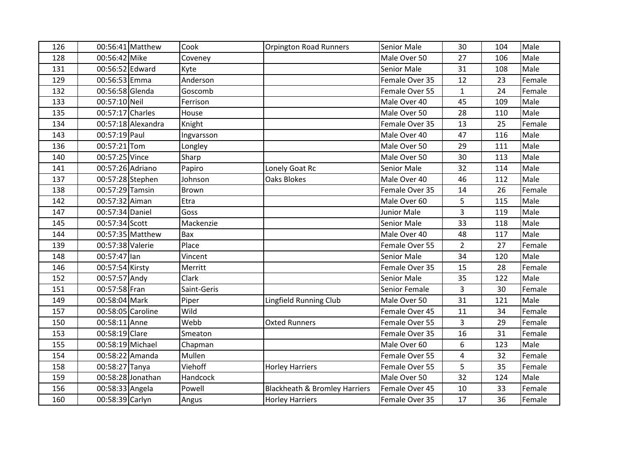| 126 |                   | 00:56:41 Matthew   | Cook         | <b>Orpington Road Runners</b>            | <b>Senior Male</b> | 30             | 104 | Male   |
|-----|-------------------|--------------------|--------------|------------------------------------------|--------------------|----------------|-----|--------|
| 128 | 00:56:42 Mike     |                    | Coveney      |                                          | Male Over 50       | 27             | 106 | Male   |
| 131 | 00:56:52 Edward   |                    | Kyte         |                                          | <b>Senior Male</b> | 31             | 108 | Male   |
| 129 | 00:56:53 Emma     |                    | Anderson     |                                          | Female Over 35     | 12             | 23  | Female |
| 132 | 00:56:58 Glenda   |                    | Goscomb      |                                          | Female Over 55     | $\mathbf{1}$   | 24  | Female |
| 133 | 00:57:10 Neil     |                    | Ferrison     |                                          | Male Over 40       | 45             | 109 | Male   |
| 135 | 00:57:17 Charles  |                    | House        |                                          | Male Over 50       | 28             | 110 | Male   |
| 134 |                   | 00:57:18 Alexandra | Knight       |                                          | Female Over 35     | 13             | 25  | Female |
| 143 | 00:57:19 Paul     |                    | Ingvarsson   |                                          | Male Over 40       | 47             | 116 | Male   |
| 136 | 00:57:21 Tom      |                    | Longley      |                                          | Male Over 50       | 29             | 111 | Male   |
| 140 | 00:57:25 Vince    |                    | Sharp        |                                          | Male Over 50       | 30             | 113 | Male   |
| 141 | 00:57:26 Adriano  |                    | Papiro       | Lonely Goat Rc                           | <b>Senior Male</b> | 32             | 114 | Male   |
| 137 | 00:57:28 Stephen  |                    | Johnson      | <b>Oaks Blokes</b>                       | Male Over 40       | 46             | 112 | Male   |
| 138 | 00:57:29 Tamsin   |                    | <b>Brown</b> |                                          | Female Over 35     | 14             | 26  | Female |
| 142 | 00:57:32 Aiman    |                    | Etra         |                                          | Male Over 60       | 5              | 115 | Male   |
| 147 | 00:57:34 Daniel   |                    | Goss         |                                          | <b>Junior Male</b> | 3              | 119 | Male   |
| 145 | 00:57:34 Scott    |                    | Mackenzie    |                                          | <b>Senior Male</b> | 33             | 118 | Male   |
| 144 |                   | 00:57:35 Matthew   | Bax          |                                          | Male Over 40       | 48             | 117 | Male   |
| 139 | 00:57:38 Valerie  |                    | Place        |                                          | Female Over 55     | $\overline{2}$ | 27  | Female |
| 148 | 00:57:47 lan      |                    | Vincent      |                                          | <b>Senior Male</b> | 34             | 120 | Male   |
| 146 | 00:57:54 Kirsty   |                    | Merritt      |                                          | Female Over 35     | 15             | 28  | Female |
| 152 | 00:57:57 Andy     |                    | Clark        |                                          | <b>Senior Male</b> | 35             | 122 | Male   |
| 151 | 00:57:58 Fran     |                    | Saint-Geris  |                                          | Senior Female      | 3              | 30  | Female |
| 149 | 00:58:04 Mark     |                    | Piper        | <b>Lingfield Running Club</b>            | Male Over 50       | 31             | 121 | Male   |
| 157 | 00:58:05 Caroline |                    | Wild         |                                          | Female Over 45     | 11             | 34  | Female |
| 150 | 00:58:11 Anne     |                    | Webb         | <b>Oxted Runners</b>                     | Female Over 55     | 3              | 29  | Female |
| 153 | 00:58:19 Clare    |                    | Smeaton      |                                          | Female Over 35     | 16             | 31  | Female |
| 155 | 00:58:19 Michael  |                    | Chapman      |                                          | Male Over 60       | 6              | 123 | Male   |
| 154 | 00:58:22 Amanda   |                    | Mullen       |                                          | Female Over 55     | $\overline{4}$ | 32  | Female |
| 158 | 00:58:27 Tanya    |                    | Viehoff      | <b>Horley Harriers</b>                   | Female Over 55     | 5              | 35  | Female |
| 159 |                   | 00:58:28 Jonathan  | Handcock     |                                          | Male Over 50       | 32             | 124 | Male   |
| 156 | 00:58:33 Angela   |                    | Powell       | <b>Blackheath &amp; Bromley Harriers</b> | Female Over 45     | 10             | 33  | Female |
| 160 | 00:58:39 Carlyn   |                    | Angus        | <b>Horley Harriers</b>                   | Female Over 35     | 17             | 36  | Female |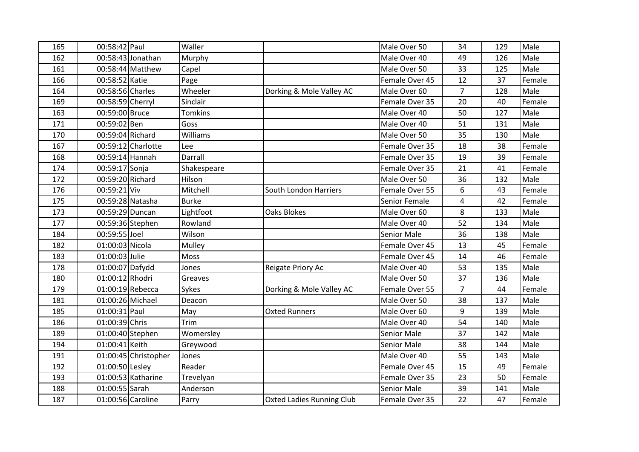| 165 | 00:58:42 Paul    |                      | Waller         |                                  | Male Over 50       | 34             | 129 | Male   |
|-----|------------------|----------------------|----------------|----------------------------------|--------------------|----------------|-----|--------|
| 162 |                  | 00:58:43 Jonathan    | Murphy         |                                  | Male Over 40       | 49             | 126 | Male   |
| 161 |                  | 00:58:44 Matthew     | Capel          |                                  | Male Over 50       | 33             | 125 | Male   |
| 166 | 00:58:52 Katie   |                      | Page           |                                  | Female Over 45     | 12             | 37  | Female |
| 164 | 00:58:56 Charles |                      | Wheeler        | Dorking & Mole Valley AC         | Male Over 60       | $\overline{7}$ | 128 | Male   |
| 169 | 00:58:59 Cherryl |                      | Sinclair       |                                  | Female Over 35     | 20             | 40  | Female |
| 163 | 00:59:00 Bruce   |                      | <b>Tomkins</b> |                                  | Male Over 40       | 50             | 127 | Male   |
| 171 | 00:59:02 Ben     |                      | Goss           |                                  | Male Over 40       | 51             | 131 | Male   |
| 170 | 00:59:04 Richard |                      | Williams       |                                  | Male Over 50       | 35             | 130 | Male   |
| 167 |                  | 00:59:12 Charlotte   | Lee            |                                  | Female Over 35     | 18             | 38  | Female |
| 168 | 00:59:14 Hannah  |                      | Darrall        |                                  | Female Over 35     | 19             | 39  | Female |
| 174 | 00:59:17 Sonja   |                      | Shakespeare    |                                  | Female Over 35     | 21             | 41  | Female |
| 172 | 00:59:20 Richard |                      | Hilson         |                                  | Male Over 50       | 36             | 132 | Male   |
| 176 | 00:59:21 Viv     |                      | Mitchell       | South London Harriers            | Female Over 55     | 6              | 43  | Female |
| 175 | 00:59:28 Natasha |                      | <b>Burke</b>   |                                  | Senior Female      | 4              | 42  | Female |
| 173 | 00:59:29 Duncan  |                      | Lightfoot      | <b>Oaks Blokes</b>               | Male Over 60       | 8              | 133 | Male   |
| 177 |                  | 00:59:36 Stephen     | Rowland        |                                  | Male Over 40       | 52             | 134 | Male   |
| 184 | 00:59:55 Joel    |                      | Wilson         |                                  | <b>Senior Male</b> | 36             | 138 | Male   |
| 182 | 01:00:03 Nicola  |                      | Mulley         |                                  | Female Over 45     | 13             | 45  | Female |
| 183 | 01:00:03 Julie   |                      | Moss           |                                  | Female Over 45     | 14             | 46  | Female |
| 178 | 01:00:07 Dafydd  |                      | Jones          | Reigate Priory Ac                | Male Over 40       | 53             | 135 | Male   |
| 180 | 01:00:12 Rhodri  |                      | Greaves        |                                  | Male Over 50       | 37             | 136 | Male   |
| 179 |                  | 01:00:19 Rebecca     | Sykes          | Dorking & Mole Valley AC         | Female Over 55     | $\overline{7}$ | 44  | Female |
| 181 | 01:00:26 Michael |                      | Deacon         |                                  | Male Over 50       | 38             | 137 | Male   |
| 185 | 01:00:31 Paul    |                      | May            | <b>Oxted Runners</b>             | Male Over 60       | 9              | 139 | Male   |
| 186 | 01:00:39 Chris   |                      | Trim           |                                  | Male Over 40       | 54             | 140 | Male   |
| 189 |                  | 01:00:40 Stephen     | Womersley      |                                  | <b>Senior Male</b> | 37             | 142 | Male   |
| 194 | 01:00:41 Keith   |                      | Greywood       |                                  | <b>Senior Male</b> | 38             | 144 | Male   |
| 191 |                  | 01:00:45 Christopher | Jones          |                                  | Male Over 40       | 55             | 143 | Male   |
| 192 | 01:00:50 Lesley  |                      | Reader         |                                  | Female Over 45     | 15             | 49  | Female |
| 193 |                  | 01:00:53 Katharine   | Trevelyan      |                                  | Female Over 35     | 23             | 50  | Female |
| 188 | 01:00:55 Sarah   |                      | Anderson       |                                  | <b>Senior Male</b> | 39             | 141 | Male   |
| 187 |                  | 01:00:56 Caroline    | Parry          | <b>Oxted Ladies Running Club</b> | Female Over 35     | 22             | 47  | Female |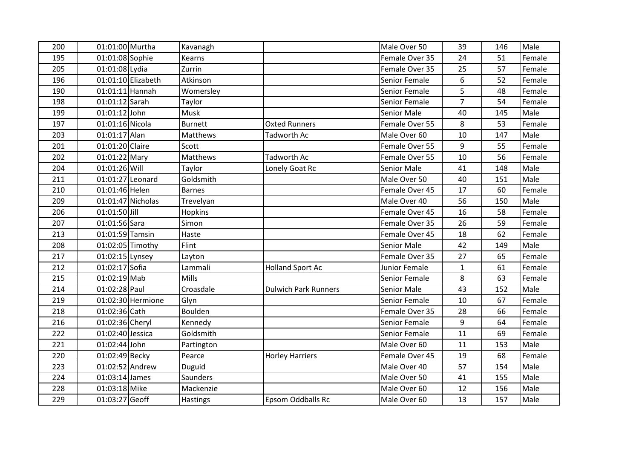| 200 | 01:01:00 Murtha   |                    | Kavanagh        |                             | Male Over 50       | 39             | 146 | Male   |
|-----|-------------------|--------------------|-----------------|-----------------------------|--------------------|----------------|-----|--------|
| 195 | 01:01:08 Sophie   |                    | Kearns          |                             | Female Over 35     | 24             | 51  | Female |
| 205 | 01:01:08 Lydia    |                    | Zurrin          |                             | Female Over 35     | 25             | 57  | Female |
| 196 |                   | 01:01:10 Elizabeth | Atkinson        |                             | Senior Female      | 6              | 52  | Female |
| 190 | $01:01:11$ Hannah |                    | Womersley       |                             | Senior Female      | 5              | 48  | Female |
| 198 | 01:01:12 Sarah    |                    | Taylor          |                             | Senior Female      | $\overline{7}$ | 54  | Female |
| 199 | $01:01:12$ John   |                    | Musk            |                             | <b>Senior Male</b> | 40             | 145 | Male   |
| 197 | 01:01:16 Nicola   |                    | <b>Burnett</b>  | <b>Oxted Runners</b>        | Female Over 55     | 8              | 53  | Female |
| 203 | 01:01:17 Alan     |                    | Matthews        | <b>Tadworth Ac</b>          | Male Over 60       | 10             | 147 | Male   |
| 201 | 01:01:20 Claire   |                    | Scott           |                             | Female Over 55     | 9              | 55  | Female |
| 202 | 01:01:22 Mary     |                    | <b>Matthews</b> | <b>Tadworth Ac</b>          | Female Over 55     | 10             | 56  | Female |
| 204 | 01:01:26 Will     |                    | Taylor          | Lonely Goat Rc              | <b>Senior Male</b> | 41             | 148 | Male   |
| 211 | 01:01:27 Leonard  |                    | Goldsmith       |                             | Male Over 50       | 40             | 151 | Male   |
| 210 | 01:01:46 Helen    |                    | <b>Barnes</b>   |                             | Female Over 45     | 17             | 60  | Female |
| 209 |                   | 01:01:47 Nicholas  | Trevelyan       |                             | Male Over 40       | 56             | 150 | Male   |
| 206 | 01:01:50 Jill     |                    | Hopkins         |                             | Female Over 45     | 16             | 58  | Female |
| 207 | 01:01:56 Sara     |                    | Simon           |                             | Female Over 35     | 26             | 59  | Female |
| 213 | 01:01:59 Tamsin   |                    | Haste           |                             | Female Over 45     | 18             | 62  | Female |
| 208 |                   | 01:02:05 Timothy   | Flint           |                             | <b>Senior Male</b> | 42             | 149 | Male   |
| 217 | 01:02:15 Lynsey   |                    | Layton          |                             | Female Over 35     | 27             | 65  | Female |
| 212 | 01:02:17 Sofia    |                    | Lammali         | <b>Holland Sport Ac</b>     | Junior Female      | $\mathbf{1}$   | 61  | Female |
| 215 | $01:02:19$ Mab    |                    | Mills           |                             | Senior Female      | 8              | 63  | Female |
| 214 | 01:02:28 Paul     |                    | Croasdale       | <b>Dulwich Park Runners</b> | <b>Senior Male</b> | 43             | 152 | Male   |
| 219 |                   | 01:02:30 Hermione  | Glyn            |                             | Senior Female      | 10             | 67  | Female |
| 218 | 01:02:36 Cath     |                    | Boulden         |                             | Female Over 35     | 28             | 66  | Female |
| 216 | 01:02:36 Cheryl   |                    | Kennedy         |                             | Senior Female      | 9              | 64  | Female |
| 222 | 01:02:40 Jessica  |                    | Goldsmith       |                             | Senior Female      | 11             | 69  | Female |
| 221 | 01:02:44 John     |                    | Partington      |                             | Male Over 60       | 11             | 153 | Male   |
| 220 | 01:02:49 Becky    |                    | Pearce          | <b>Horley Harriers</b>      | Female Over 45     | 19             | 68  | Female |
| 223 | 01:02:52 Andrew   |                    | Duguid          |                             | Male Over 40       | 57             | 154 | Male   |
| 224 | 01:03:14 James    |                    | <b>Saunders</b> |                             | Male Over 50       | 41             | 155 | Male   |
| 228 | 01:03:18 Mike     |                    | Mackenzie       |                             | Male Over 60       | 12             | 156 | Male   |
| 229 | 01:03:27 Geoff    |                    | Hastings        | <b>Epsom Oddballs Rc</b>    | Male Over 60       | 13             | 157 | Male   |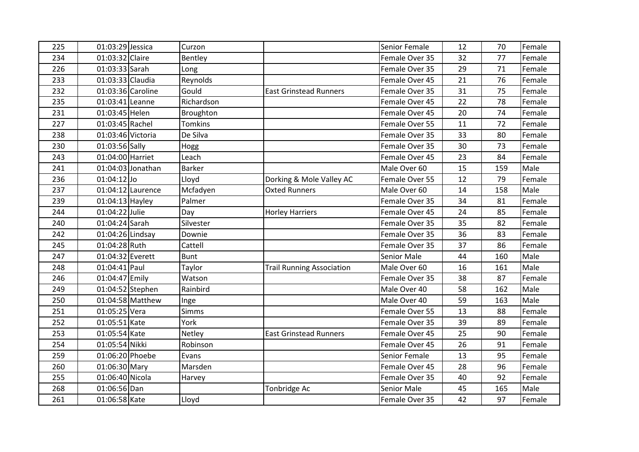| 225 | 01:03:29 Jessica  |                     | Curzon         |                                  | Senior Female  | 12 | 70  | Female |
|-----|-------------------|---------------------|----------------|----------------------------------|----------------|----|-----|--------|
| 234 | 01:03:32 Claire   |                     | Bentley        |                                  | Female Over 35 | 32 | 77  | Female |
| 226 | 01:03:33 Sarah    |                     | Long           |                                  | Female Over 35 | 29 | 71  | Female |
| 233 | 01:03:33 Claudia  |                     | Reynolds       |                                  | Female Over 45 | 21 | 76  | Female |
| 232 |                   | 01:03:36 Caroline   | Gould          | <b>East Grinstead Runners</b>    | Female Over 35 | 31 | 75  | Female |
| 235 | 01:03:41 Leanne   |                     | Richardson     |                                  | Female Over 45 | 22 | 78  | Female |
| 231 | 01:03:45 Helen    |                     | Broughton      |                                  | Female Over 45 | 20 | 74  | Female |
| 227 | 01:03:45 Rachel   |                     | <b>Tomkins</b> |                                  | Female Over 55 | 11 | 72  | Female |
| 238 | 01:03:46 Victoria |                     | De Silva       |                                  | Female Over 35 | 33 | 80  | Female |
| 230 | 01:03:56 Sally    |                     | Hogg           |                                  | Female Over 35 | 30 | 73  | Female |
| 243 | 01:04:00 Harriet  |                     | Leach          |                                  | Female Over 45 | 23 | 84  | Female |
| 241 |                   | $01:04:03$ Jonathan | <b>Barker</b>  |                                  | Male Over 60   | 15 | 159 | Male   |
| 236 | $01:04:12$ Jo     |                     | Lloyd          | Dorking & Mole Valley AC         | Female Over 55 | 12 | 79  | Female |
| 237 |                   | 01:04:12 Laurence   | Mcfadyen       | <b>Oxted Runners</b>             | Male Over 60   | 14 | 158 | Male   |
| 239 | 01:04:13 Hayley   |                     | Palmer         |                                  | Female Over 35 | 34 | 81  | Female |
| 244 | 01:04:22 Julie    |                     | Day            | <b>Horley Harriers</b>           | Female Over 45 | 24 | 85  | Female |
| 240 | 01:04:24 Sarah    |                     | Silvester      |                                  | Female Over 35 | 35 | 82  | Female |
| 242 | 01:04:26 Lindsay  |                     | Downie         |                                  | Female Over 35 | 36 | 83  | Female |
| 245 | 01:04:28 Ruth     |                     | Cattell        |                                  | Female Over 35 | 37 | 86  | Female |
| 247 | 01:04:32 Everett  |                     | <b>Bunt</b>    |                                  | Senior Male    | 44 | 160 | Male   |
| 248 | 01:04:41 Paul     |                     | Taylor         | <b>Trail Running Association</b> | Male Over 60   | 16 | 161 | Male   |
| 246 | 01:04:47 Emily    |                     | Watson         |                                  | Female Over 35 | 38 | 87  | Female |
| 249 |                   | 01:04:52 Stephen    | Rainbird       |                                  | Male Over 40   | 58 | 162 | Male   |
| 250 |                   | $01:04:58$ Matthew  | Inge           |                                  | Male Over 40   | 59 | 163 | Male   |
| 251 | 01:05:25 Vera     |                     | <b>Simms</b>   |                                  | Female Over 55 | 13 | 88  | Female |
| 252 | 01:05:51 Kate     |                     | York           |                                  | Female Over 35 | 39 | 89  | Female |
| 253 | 01:05:54 Kate     |                     | Netley         | <b>East Grinstead Runners</b>    | Female Over 45 | 25 | 90  | Female |
| 254 | 01:05:54 Nikki    |                     | Robinson       |                                  | Female Over 45 | 26 | 91  | Female |
| 259 | 01:06:20 Phoebe   |                     | Evans          |                                  | Senior Female  | 13 | 95  | Female |
| 260 | 01:06:30 Mary     |                     | Marsden        |                                  | Female Over 45 | 28 | 96  | Female |
| 255 | 01:06:40 Nicola   |                     | Harvey         |                                  | Female Over 35 | 40 | 92  | Female |
| 268 | 01:06:56 Dan      |                     |                | Tonbridge Ac                     | Senior Male    | 45 | 165 | Male   |
| 261 | 01:06:58 Kate     |                     | Lloyd          |                                  | Female Over 35 | 42 | 97  | Female |
|     |                   |                     |                |                                  |                |    |     |        |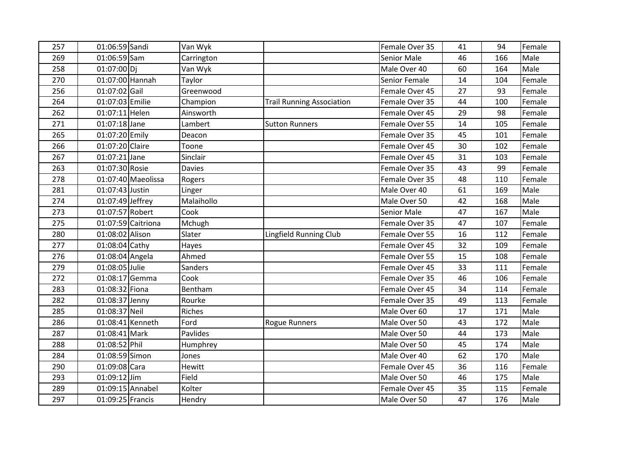| 257 | 01:06:59 Sandi   |                    | Van Wyk       |                                  | Female Over 35     | 41 | 94  | Female |
|-----|------------------|--------------------|---------------|----------------------------------|--------------------|----|-----|--------|
| 269 | 01:06:59 Sam     |                    | Carrington    |                                  | <b>Senior Male</b> | 46 | 166 | Male   |
| 258 | 01:07:00 Di      |                    | Van Wyk       |                                  | Male Over 40       | 60 | 164 | Male   |
| 270 | 01:07:00 Hannah  |                    | Taylor        |                                  | Senior Female      | 14 | 104 | Female |
| 256 | 01:07:02 Gail    |                    | Greenwood     |                                  | Female Over 45     | 27 | 93  | Female |
| 264 | 01:07:03 Emilie  |                    | Champion      | <b>Trail Running Association</b> | Female Over 35     | 44 | 100 | Female |
| 262 | 01:07:11 Helen   |                    | Ainsworth     |                                  | Female Over 45     | 29 | 98  | Female |
| 271 | 01:07:18 Jane    |                    | Lambert       | <b>Sutton Runners</b>            | Female Over 55     | 14 | 105 | Female |
| 265 | 01:07:20 Emily   |                    | Deacon        |                                  | Female Over 35     | 45 | 101 | Female |
| 266 | 01:07:20 Claire  |                    | Toone         |                                  | Female Over 45     | 30 | 102 | Female |
| 267 | $01:07:21$ Jane  |                    | Sinclair      |                                  | Female Over 45     | 31 | 103 | Female |
| 263 | 01:07:30 Rosie   |                    | <b>Davies</b> |                                  | Female Over 35     | 43 | 99  | Female |
| 278 |                  | 01:07:40 Maeolissa | Rogers        |                                  | Female Over 35     | 48 | 110 | Female |
| 281 | 01:07:43 Justin  |                    | Linger        |                                  | Male Over 40       | 61 | 169 | Male   |
| 274 | 01:07:49 Jeffrey |                    | Malaihollo    |                                  | Male Over 50       | 42 | 168 | Male   |
| 273 | 01:07:57 Robert  |                    | Cook          |                                  | <b>Senior Male</b> | 47 | 167 | Male   |
| 275 |                  | 01:07:59 Caitriona | Mchugh        |                                  | Female Over 35     | 47 | 107 | Female |
| 280 | 01:08:02 Alison  |                    | Slater        | <b>Lingfield Running Club</b>    | Female Over 55     | 16 | 112 | Female |
| 277 | 01:08:04 Cathy   |                    | Hayes         |                                  | Female Over 45     | 32 | 109 | Female |
| 276 | 01:08:04 Angela  |                    | Ahmed         |                                  | Female Over 55     | 15 | 108 | Female |
| 279 | 01:08:05 Julie   |                    | Sanders       |                                  | Female Over 45     | 33 | 111 | Female |
| 272 | 01:08:17 Gemma   |                    | Cook          |                                  | Female Over 35     | 46 | 106 | Female |
| 283 | 01:08:32 Fiona   |                    | Bentham       |                                  | Female Over 45     | 34 | 114 | Female |
| 282 | 01:08:37 Jenny   |                    | Rourke        |                                  | Female Over 35     | 49 | 113 | Female |
| 285 | 01:08:37 Neil    |                    | <b>Riches</b> |                                  | Male Over 60       | 17 | 171 | Male   |
| 286 | 01:08:41 Kenneth |                    | Ford          | <b>Rogue Runners</b>             | Male Over 50       | 43 | 172 | Male   |
| 287 | 01:08:41 Mark    |                    | Pavlides      |                                  | Male Over 50       | 44 | 173 | Male   |
| 288 | 01:08:52 Phil    |                    | Humphrey      |                                  | Male Over 50       | 45 | 174 | Male   |
| 284 | 01:08:59 Simon   |                    | Jones         |                                  | Male Over 40       | 62 | 170 | Male   |
| 290 | 01:09:08 Cara    |                    | <b>Hewitt</b> |                                  | Female Over 45     | 36 | 116 | Female |
| 293 | 01:09:12 Jim     |                    | Field         |                                  | Male Over 50       | 46 | 175 | Male   |
| 289 | 01:09:15 Annabel |                    | Kolter        |                                  | Female Over 45     | 35 | 115 | Female |
| 297 | 01:09:25 Francis |                    | Hendry        |                                  | Male Over 50       | 47 | 176 | Male   |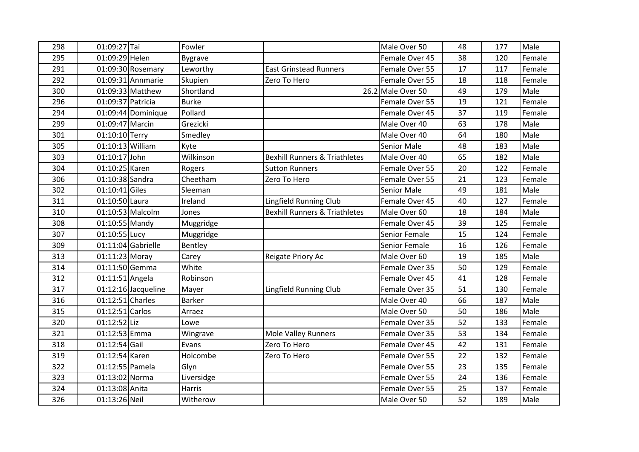| 01:09:27 Tai<br>298<br>Fowler<br>01:09:29 Helen<br>295 |                                          | Male Over 50       | 48 | 177 | Male   |
|--------------------------------------------------------|------------------------------------------|--------------------|----|-----|--------|
|                                                        |                                          |                    |    |     |        |
| <b>Bygrave</b>                                         |                                          | Female Over 45     | 38 | 120 | Female |
| 291<br>01:09:30 Rosemary<br>Leworthy                   | <b>East Grinstead Runners</b>            | Female Over 55     | 17 | 117 | Female |
| 292<br>01:09:31 Annmarie<br>Skupien                    | Zero To Hero                             | Female Over 55     | 18 | 118 | Female |
| 01:09:33 Matthew<br>300<br>Shortland                   |                                          | 26.2 Male Over 50  | 49 | 179 | Male   |
| 296<br>01:09:37 Patricia<br><b>Burke</b>               |                                          | Female Over 55     | 19 | 121 | Female |
| Pollard<br>294<br>01:09:44 Dominique                   |                                          | Female Over 45     | 37 | 119 | Female |
| 01:09:47 Marcin<br>Grezicki<br>299                     |                                          | Male Over 40       | 63 | 178 | Male   |
| 01:10:10 Terry<br>301<br>Smedley                       |                                          | Male Over 40       | 64 | 180 | Male   |
| 01:10:13 William<br>305<br>Kyte                        |                                          | <b>Senior Male</b> | 48 | 183 | Male   |
| 303<br>01:10:17 John<br>Wilkinson                      | <b>Bexhill Runners &amp; Triathletes</b> | Male Over 40       | 65 | 182 | Male   |
| 01:10:25 Karen<br>304<br>Rogers                        | <b>Sutton Runners</b>                    | Female Over 55     | 20 | 122 | Female |
| 01:10:38 Sandra<br>Cheetham<br>306                     | Zero To Hero                             | Female Over 55     | 21 | 123 | Female |
| $01:10:41$ Giles<br>302<br>Sleeman                     |                                          | <b>Senior Male</b> | 49 | 181 | Male   |
| 311<br>01:10:50 Laura<br>Ireland                       | Lingfield Running Club                   | Female Over 45     | 40 | 127 | Female |
| 01:10:53 Malcolm<br>310<br>Jones                       | <b>Bexhill Runners &amp; Triathletes</b> | Male Over 60       | 18 | 184 | Male   |
| $01:10:55$ Mandy<br>308<br>Muggridge                   |                                          | Female Over 45     | 39 | 125 | Female |
| 01:10:55 Lucy<br>307<br>Muggridge                      |                                          | Senior Female      | 15 | 124 | Female |
| 01:11:04 Gabrielle<br>309<br>Bentley                   |                                          | Senior Female      | 16 | 126 | Female |
| 01:11:23 Moray<br>313<br>Carey                         | Reigate Priory Ac                        | Male Over 60       | 19 | 185 | Male   |
| White<br>01:11:50 Gemma<br>314                         |                                          | Female Over 35     | 50 | 129 | Female |
| 01:11:51 Angela<br>312<br>Robinson                     |                                          | Female Over 45     | 41 | 128 | Female |
| $01:12:16$ Jacqueline<br>317<br>Mayer                  | Lingfield Running Club                   | Female Over 35     | 51 | 130 | Female |
| 01:12:51 Charles<br>316<br><b>Barker</b>               |                                          | Male Over 40       | 66 | 187 | Male   |
| 01:12:51 Carlos<br>315<br>Arraez                       |                                          | Male Over 50       | 50 | 186 | Male   |
| 01:12:52 Liz<br>320<br>Lowe                            |                                          | Female Over 35     | 52 | 133 | Female |
| 01:12:53 Emma<br>321<br>Wingrave                       | <b>Mole Valley Runners</b>               | Female Over 35     | 53 | 134 | Female |
| 01:12:54 Gail<br>Evans<br>318                          | Zero To Hero                             | Female Over 45     | 42 | 131 | Female |
| 01:12:54 Karen<br>319<br>Holcombe                      | Zero To Hero                             | Female Over 55     | 22 | 132 | Female |
| 01:12:55 Pamela<br>322<br>Glyn                         |                                          | Female Over 55     | 23 | 135 | Female |
| 01:13:02 Norma<br>323<br>Liversidge                    |                                          | Female Over 55     | 24 | 136 | Female |
| 324<br>01:13:08 Anita<br><b>Harris</b>                 |                                          | Female Over 55     | 25 | 137 | Female |
| 326<br>01:13:26 Neil<br>Witherow                       |                                          | Male Over 50       | 52 | 189 | Male   |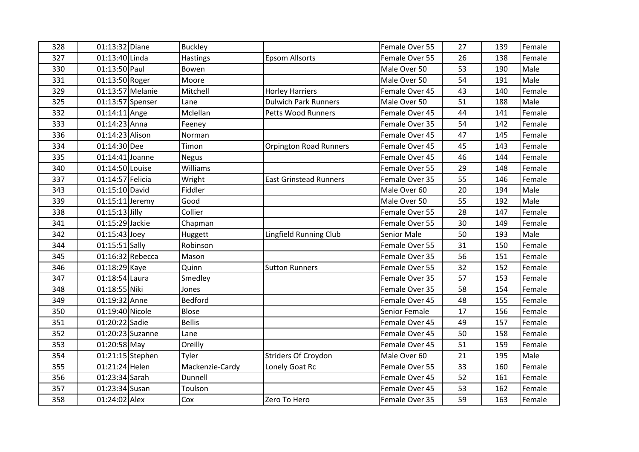| 328 | 01:13:32 Diane    |                    | <b>Buckley</b>  |                               | Female Over 55     | 27 | 139 | Female |
|-----|-------------------|--------------------|-----------------|-------------------------------|--------------------|----|-----|--------|
| 327 | 01:13:40 Linda    |                    | Hastings        | <b>Epsom Allsorts</b>         | Female Over 55     | 26 | 138 | Female |
| 330 | 01:13:50 Paul     |                    | Bowen           |                               | Male Over 50       | 53 | 190 | Male   |
| 331 | 01:13:50 Roger    |                    | Moore           |                               | Male Over 50       | 54 | 191 | Male   |
| 329 |                   | 01:13:57 Melanie   | Mitchell        | <b>Horley Harriers</b>        | Female Over 45     | 43 | 140 | Female |
| 325 |                   | $01:13:57$ Spenser | Lane            | <b>Dulwich Park Runners</b>   | Male Over 50       | 51 | 188 | Male   |
| 332 | 01:14:11 Ange     |                    | Mclellan        | Petts Wood Runners            | Female Over 45     | 44 | 141 | Female |
| 333 | 01:14:23 Anna     |                    | Feeney          |                               | Female Over 35     | 54 | 142 | Female |
| 336 | 01:14:23 Alison   |                    | Norman          |                               | Female Over 45     | 47 | 145 | Female |
| 334 | 01:14:30 Dee      |                    | Timon           | <b>Orpington Road Runners</b> | Female Over 45     | 45 | 143 | Female |
| 335 | $01:14:41$ Joanne |                    | <b>Negus</b>    |                               | Female Over 45     | 46 | 144 | Female |
| 340 | 01:14:50 Louise   |                    | Williams        |                               | Female Over 55     | 29 | 148 | Female |
| 337 | 01:14:57 Felicia  |                    | Wright          | <b>East Grinstead Runners</b> | Female Over 35     | 55 | 146 | Female |
| 343 | 01:15:10 David    |                    | Fiddler         |                               | Male Over 60       | 20 | 194 | Male   |
| 339 | $01:15:11$ Jeremy |                    | Good            |                               | Male Over 50       | 55 | 192 | Male   |
| 338 | $01:15:13$ Jilly  |                    | Collier         |                               | Female Over 55     | 28 | 147 | Female |
| 341 | 01:15:29 Jackie   |                    | Chapman         |                               | Female Over 55     | 30 | 149 | Female |
| 342 | $01:15:43$ Joey   |                    | Huggett         | <b>Lingfield Running Club</b> | <b>Senior Male</b> | 50 | 193 | Male   |
| 344 | 01:15:51 Sally    |                    | Robinson        |                               | Female Over 55     | 31 | 150 | Female |
| 345 |                   | 01:16:32 Rebecca   | Mason           |                               | Female Over 35     | 56 | 151 | Female |
| 346 | 01:18:29 Kaye     |                    | Quinn           | <b>Sutton Runners</b>         | Female Over 55     | 32 | 152 | Female |
| 347 | 01:18:54 Laura    |                    | Smedley         |                               | Female Over 35     | 57 | 153 | Female |
| 348 | 01:18:55 Niki     |                    | Jones           |                               | Female Over 35     | 58 | 154 | Female |
| 349 | 01:19:32 Anne     |                    | <b>Bedford</b>  |                               | Female Over 45     | 48 | 155 | Female |
| 350 | 01:19:40 Nicole   |                    | <b>Blose</b>    |                               | Senior Female      | 17 | 156 | Female |
| 351 | 01:20:22 Sadie    |                    | <b>Bellis</b>   |                               | Female Over 45     | 49 | 157 | Female |
| 352 |                   | 01:20:23 Suzanne   | Lane            |                               | Female Over 45     | 50 | 158 | Female |
| 353 | 01:20:58 May      |                    | Oreilly         |                               | Female Over 45     | 51 | 159 | Female |
| 354 |                   | 01:21:15 Stephen   | Tyler           | Striders Of Croydon           | Male Over 60       | 21 | 195 | Male   |
| 355 | 01:21:24 Helen    |                    | Mackenzie-Cardy | Lonely Goat Rc                | Female Over 55     | 33 | 160 | Female |
| 356 | 01:23:34 Sarah    |                    | Dunnell         |                               | Female Over 45     | 52 | 161 | Female |
| 357 | 01:23:34 Susan    |                    | Toulson         |                               | Female Over 45     | 53 | 162 | Female |
| 358 | 01:24:02 Alex     |                    | Cox             | Zero To Hero                  | Female Over 35     | 59 | 163 | Female |
|     |                   |                    |                 |                               |                    |    |     |        |